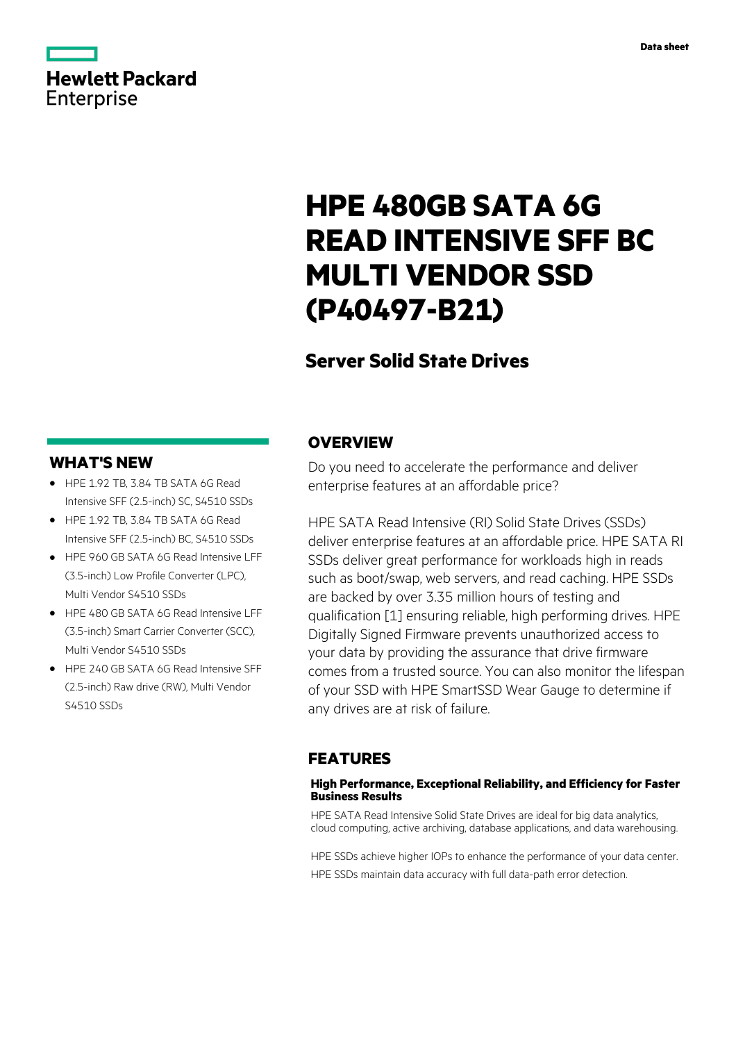# **Hewlett Packard** Enterprise

# **HPE 480GB SATA 6G READ INTENSIVE SFF BC MULTI VENDOR SSD (P40497-B21)**

# **Server Solid State Drives**

# **WHAT'S NEW**

- **·** HPE 1.92 TB, 3.84 TB SATA 6G Read Intensive SFF (2.5-inch) SC, S4510 SSDs
- **·** HPE 1.92 TB, 3.84 TB SATA 6G Read Intensive SFF (2.5-inch) BC, S4510 SSDs
- **·** HPE 960 GB SATA 6G Read Intensive LFF (3.5-inch) Low Profile Converter (LPC), Multi Vendor S4510 SSDs
- **·** HPE 480 GB SATA 6G Read Intensive LFF (3.5-inch) Smart Carrier Converter (SCC), Multi Vendor S4510 SSDs
- **·** HPE 240 GB SATA 6G Read Intensive SFF (2.5-inch) Raw drive (RW), Multi Vendor S4510 SSDs

# **OVERVIEW**

Do you need to accelerate the performance and deliver enterprise features at an affordable price?

HPE SATA Read Intensive (RI) Solid State Drives (SSDs) deliver enterprise features at an affordable price. HPE SATA RI SSDs deliver great performance for workloads high in reads such as boot/swap, web servers, and read caching. HPE SSDs are backed by over 3.35 million hours of testing and qualification [1] ensuring reliable, high performing drives. HPE Digitally Signed Firmware prevents unauthorized access to your data by providing the assurance that drive firmware comes from a trusted source. You can also monitor the lifespan of your SSD with HPE SmartSSD Wear Gauge to determine if any drives are at risk of failure.

# **FEATURES**

### **High Performance, Exceptional Reliability, and Efficiency for Faster Business Results**

HPE SATA Read Intensive Solid State Drives are ideal for big data analytics, cloud computing, active archiving, database applications, and data warehousing.

HPE SSDs achieve higher IOPs to enhance the performance of your data center. HPE SSDs maintain data accuracy with full data-path error detection.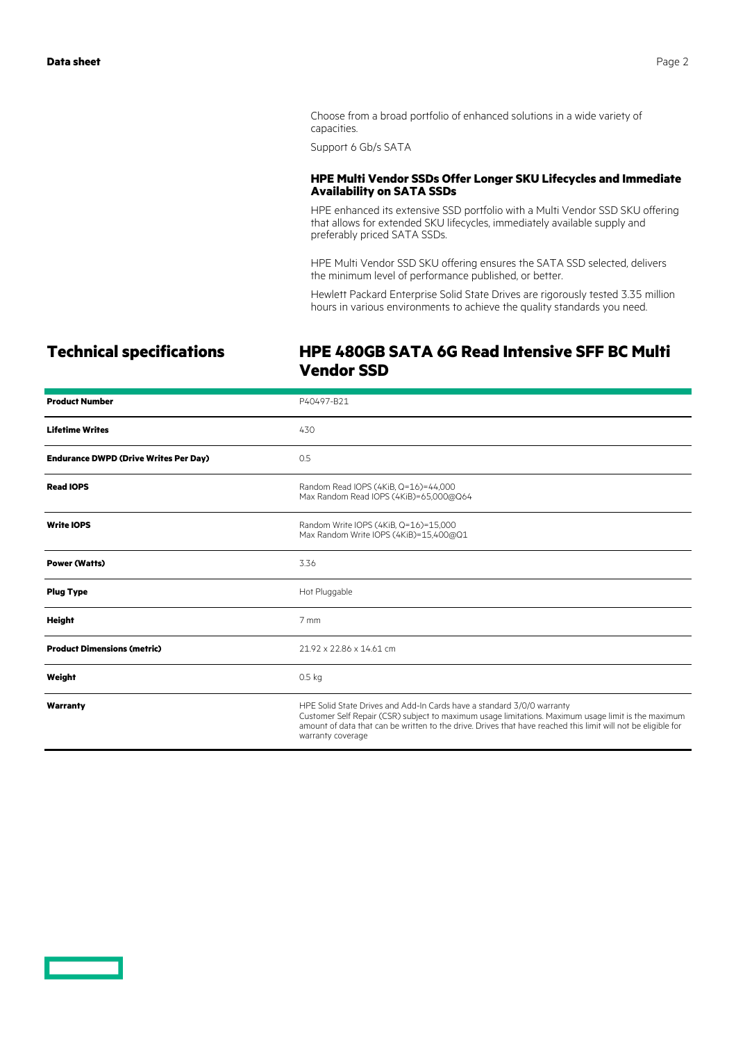Choose from a broad portfolio of enhanced solutions in a wide variety of capacities.

Support 6 Gb/s SATA

#### **HPE Multi Vendor SSDs Offer Longer SKU Lifecycles and Immediate Availability on SATA SSDs**

HPE enhanced its extensive SSD portfolio with a Multi Vendor SSD SKU offering that allows for extended SKU lifecycles, immediately available supply and preferably priced SATA SSDs.

HPE Multi Vendor SSD SKU offering ensures the SATA SSD selected, delivers the minimum level of performance published, or better.

Hewlett Packard Enterprise Solid State Drives are rigorously tested 3.35 million hours in various environments to achieve the quality standards you need.

# **Technical specifications HPE 480GB SATA 6G Read Intensive SFF BC Multi Vendor SSD**

| <b>Product Number</b>                        | P40497-B21                                                                                                                                                                                                                                                                                                          |
|----------------------------------------------|---------------------------------------------------------------------------------------------------------------------------------------------------------------------------------------------------------------------------------------------------------------------------------------------------------------------|
| <b>Lifetime Writes</b>                       | 430                                                                                                                                                                                                                                                                                                                 |
| <b>Endurance DWPD (Drive Writes Per Day)</b> | 0.5                                                                                                                                                                                                                                                                                                                 |
| <b>Read IOPS</b>                             | Random Read IOPS (4KiB, Q=16)=44,000<br>Max Random Read IOPS (4KiB)=65,000@Q64                                                                                                                                                                                                                                      |
| <b>Write IOPS</b>                            | Random Write IOPS (4KiB, Q=16)=15,000<br>Max Random Write IOPS (4KiB)=15,400@Q1                                                                                                                                                                                                                                     |
| <b>Power (Watts)</b>                         | 3.36                                                                                                                                                                                                                                                                                                                |
| <b>Plug Type</b>                             | Hot Pluggable                                                                                                                                                                                                                                                                                                       |
| <b>Height</b>                                | 7 mm                                                                                                                                                                                                                                                                                                                |
| <b>Product Dimensions (metric)</b>           | 21.92 x 22.86 x 14.61 cm                                                                                                                                                                                                                                                                                            |
| Weight                                       | 0.5 <sub>kq</sub>                                                                                                                                                                                                                                                                                                   |
| Warranty                                     | HPE Solid State Drives and Add-In Cards have a standard 3/0/0 warranty<br>Customer Self Repair (CSR) subject to maximum usage limitations. Maximum usage limit is the maximum<br>amount of data that can be written to the drive. Drives that have reached this limit will not be eligible for<br>warranty coverage |